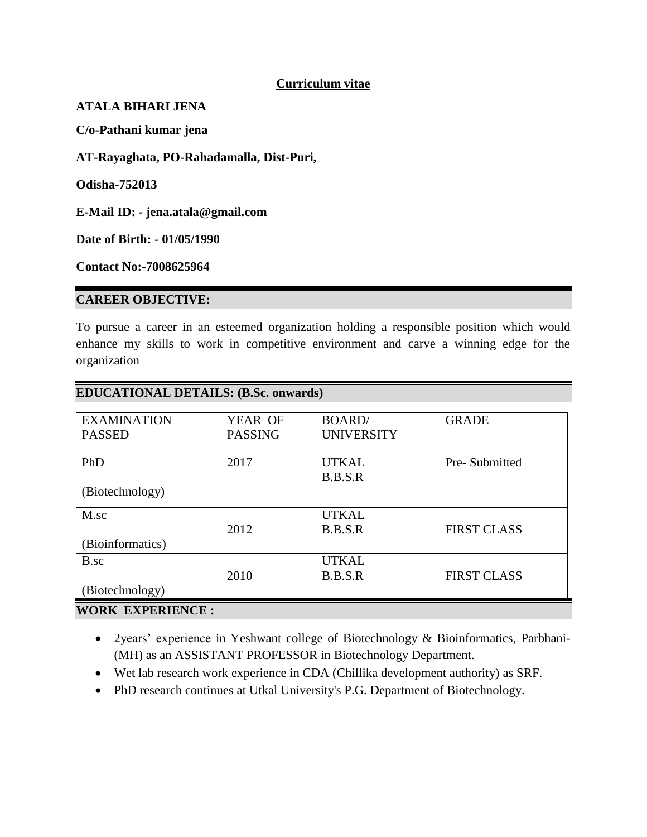### **Curriculum vitae**

#### **ATALA BIHARI JENA**

**C/o-Pathani kumar jena**

**AT-Rayaghata, PO-Rahadamalla, Dist-Puri,**

**Odisha-752013**

**E-Mail ID: - jena.atala@gmail.com**

**Date of Birth: - 01/05/1990**

**Contact No:-7008625964**

#### **CAREER OBJECTIVE:**

To pursue a career in an esteemed organization holding a responsible position which would enhance my skills to work in competitive environment and carve a winning edge for the organization

| <b>EXAMINATION</b> | YEAR OF        | <b>BOARD</b>      | <b>GRADE</b>       |
|--------------------|----------------|-------------------|--------------------|
| <b>PASSED</b>      | <b>PASSING</b> | <b>UNIVERSITY</b> |                    |
|                    |                |                   |                    |
| PhD                | 2017           | <b>UTKAL</b>      | Pre-Submitted      |
|                    |                | B.B.S.R           |                    |
| (Biotechnology)    |                |                   |                    |
|                    |                |                   |                    |
| M.sc               |                | <b>UTKAL</b>      |                    |
|                    | 2012           | B.B.S.R           | <b>FIRST CLASS</b> |
| (Bioinformatics)   |                |                   |                    |
| B.sc               |                | <b>UTKAL</b>      |                    |
|                    | 2010           | B.B.S.R           | <b>FIRST CLASS</b> |
| (Biotechnology)    |                |                   |                    |
| waart prennriesen  |                |                   |                    |

#### **EDUCATIONAL DETAILS: (B.Sc. onwards)**

# **WORK EXPERIENCE :**

- 2years' experience in Yeshwant college of Biotechnology & Bioinformatics, Parbhani- (MH) as an ASSISTANT PROFESSOR in Biotechnology Department.
- Wet lab research work experience in CDA (Chillika development authority) as SRF.
- PhD research continues at Utkal University's P.G. Department of Biotechnology.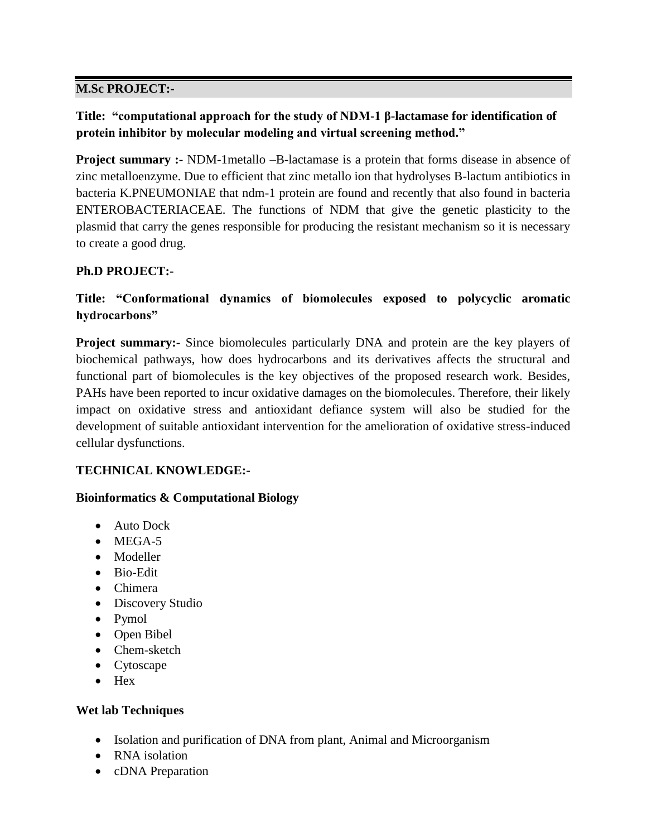# **M.Sc PROJECT:-**

# **Title: "computational approach for the study of NDM-1 β-lactamase for identification of protein inhibitor by molecular modeling and virtual screening method."**

**Project summary :-** NDM-1metallo –B-lactamase is a protein that forms disease in absence of zinc metalloenzyme. Due to efficient that zinc metallo ion that hydrolyses B-lactum antibiotics in bacteria K.PNEUMONIAE that ndm-1 protein are found and recently that also found in bacteria ENTEROBACTERIACEAE. The functions of NDM that give the genetic plasticity to the plasmid that carry the genes responsible for producing the resistant mechanism so it is necessary to create a good drug.

# **Ph.D PROJECT:-**

# **Title: "Conformational dynamics of biomolecules exposed to polycyclic aromatic hydrocarbons"**

**Project summary:-** Since biomolecules particularly DNA and protein are the key players of biochemical pathways, how does hydrocarbons and its derivatives affects the structural and functional part of biomolecules is the key objectives of the proposed research work. Besides, PAHs have been reported to incur oxidative damages on the biomolecules. Therefore, their likely impact on oxidative stress and antioxidant defiance system will also be studied for the development of suitable antioxidant intervention for the amelioration of oxidative stress-induced cellular dysfunctions.

# **TECHNICAL KNOWLEDGE:-**

#### **Bioinformatics & Computational Biology**

- Auto Dock
- $\bullet$  MEGA-5
- Modeller
- Bio-Edit
- Chimera
- Discovery Studio
- Pymol
- Open Bibel
- Chem-sketch
- Cytoscape
- $\bullet$  Hex

# **Wet lab Techniques**

- Isolation and purification of DNA from plant, Animal and Microorganism
- RNA isolation
- cDNA Preparation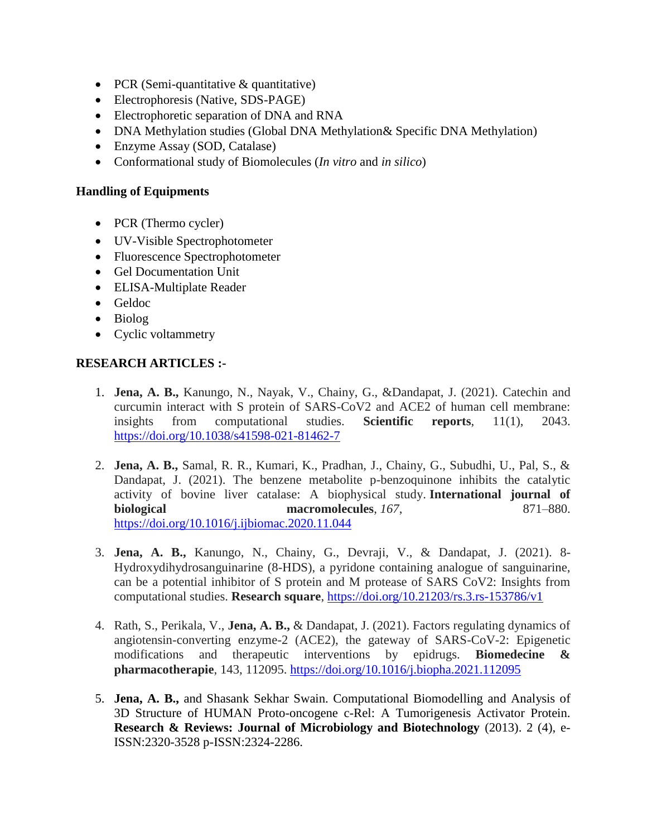- PCR (Semi-quantitative & quantitative)
- Electrophoresis (Native, SDS-PAGE)
- Electrophoretic separation of DNA and RNA
- DNA Methylation studies (Global DNA Methylation & Specific DNA Methylation)
- Enzyme Assay (SOD, Catalase)
- Conformational study of Biomolecules (*In vitro* and *in silico*)

#### **Handling of Equipments**

- PCR (Thermo cycler)
- UV-Visible Spectrophotometer
- Fluorescence Spectrophotometer
- Gel Documentation Unit
- ELISA-Multiplate Reader
- Geldoc
- Biolog
- Cyclic voltammetry

#### **RESEARCH ARTICLES :-**

- 1. **Jena, A. B.,** Kanungo, N., Nayak, V., Chainy, G., &Dandapat, J. (2021). Catechin and curcumin interact with S protein of SARS-CoV2 and ACE2 of human cell membrane: insights from computational studies. **Scientific reports**, 11(1), 2043. <https://doi.org/10.1038/s41598-021-81462-7>
- 2. **Jena, A. B.,** Samal, R. R., Kumari, K., Pradhan, J., Chainy, G., Subudhi, U., Pal, S., & Dandapat, J. (2021). The benzene metabolite p-benzoquinone inhibits the catalytic activity of bovine liver catalase: A biophysical study. **International journal of biological** macromolecules, 167, 871–880. <https://doi.org/10.1016/j.ijbiomac.2020.11.044>
- 3. **Jena, A. B.,** Kanungo, N., Chainy, G., Devraji, V., & Dandapat, J. (2021). 8- Hydroxydihydrosanguinarine (8-HDS), a pyridone containing analogue of sanguinarine, can be a potential inhibitor of S protein and M protease of SARS CoV2: Insights from computational studies. **Research square**,<https://doi.org/10.21203/rs.3.rs-153786/v1>
- 4. Rath, S., Perikala, V., **Jena, A. B.,** & Dandapat, J. (2021). Factors regulating dynamics of angiotensin-converting enzyme-2 (ACE2), the gateway of SARS-CoV-2: Epigenetic modifications and therapeutic interventions by epidrugs. **Biomedecine & pharmacotherapie**, 143, 112095.<https://doi.org/10.1016/j.biopha.2021.112095>
- 5. **Jena, A. B.,** and Shasank Sekhar Swain. Computational Biomodelling and Analysis of 3D Structure of HUMAN Proto-oncogene c-Rel: A Tumorigenesis Activator Protein. **Research & Reviews: Journal of Microbiology and Biotechnology** (2013). 2 (4), e-ISSN:2320-3528 p-ISSN:2324-2286.